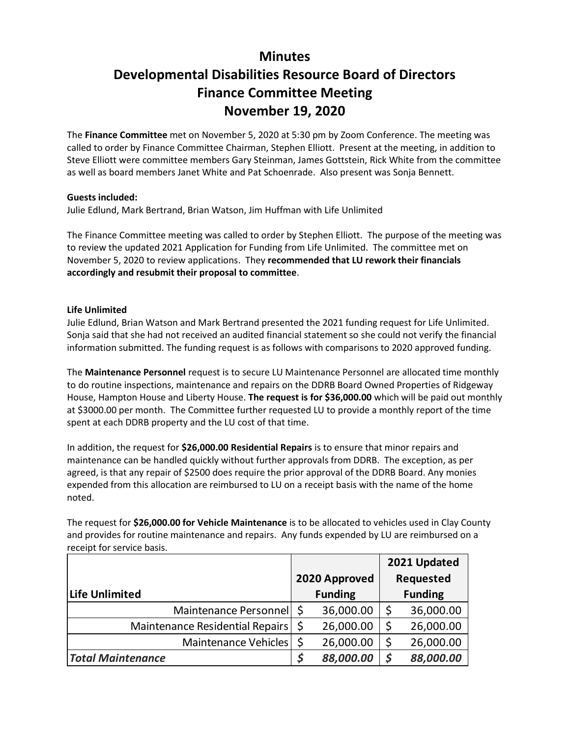# **Minutes Developmental Disabilities Resource Board of Directors Finance Committee Meeting November 19, 2020**

The **Finance Committee** met on November 5, 2020 at 5:30 pm by Zoom Conference. The meeting was called to order by Finance Committee Chairman, Stephen Elliott. Present at the meeting, in addition to Steve Elliott were committee members Gary Steinman, James Gottstein, Rick White from the committee as well as board members Janet White and Pat Schoenrade. Also present was Sonja Bennett.

## **Guests included:**

Julie Edlund, Mark Bertrand, Brian Watson, Jim Huffman with Life Unlimited

The Finance Committee meeting was called to order by Stephen Elliott. The purpose of the meeting was to review the updated 2021 Application for Funding from Life Unlimited. The committee met on November 5, 2020 to review applications. They **recommended that LU rework their financials accordingly and resubmit their proposal to committee**.

## **Life Unlimited**

Julie Edlund, Brian Watson and Mark Bertrand presented the 2021 funding request for Life Unlimited. Sonja said that she had not received an audited financial statement so she could not verify the financial information submitted. The funding request is as follows with comparisons to 2020 approved funding.

The **Maintenance Personnel** request is to secure LU Maintenance Personnel are allocated time monthly to do routine inspections, maintenance and repairs on the DDRB Board Owned Properties of Ridgeway House, Hampton House and Liberty House. **The request is for \$36,000.00** which will be paid out monthly at \$3000.00 per month. The Committee further requested LU to provide a monthly report of the time spent at each DDRB property and the LU cost of that time.

In addition, the request for **\$26,000.00 Residential Repairs** is to ensure that minor repairs and maintenance can be handled quickly without further approvals from DDRB. The exception, as per agreed, is that any repair of \$2500 does require the prior approval of the DDRB Board. Any monies expended from this allocation are reimbursed to LU on a receipt basis with the name of the home noted.

The request for **\$26,000.00 for Vehicle Maintenance** is to be allocated to vehicles used in Clay County and provides for routine maintenance and repairs. Any funds expended by LU are reimbursed on a receipt for service basis.

|                                 |                |               | 2021 Updated   |           |
|---------------------------------|----------------|---------------|----------------|-----------|
|                                 |                | 2020 Approved |                | Requested |
| Life Unlimited                  | <b>Funding</b> |               | <b>Funding</b> |           |
| Maintenance Personnel   \$      |                | 36,000.00     |                | 36,000.00 |
| Maintenance Residential Repairs | Ŝ              | 26,000.00     | \$             | 26,000.00 |
| Maintenance Vehicles            | -Ś             | 26,000.00     | \$             | 26,000.00 |
| <b>Total Maintenance</b>        |                | 88,000.00     | S              | 88,000.00 |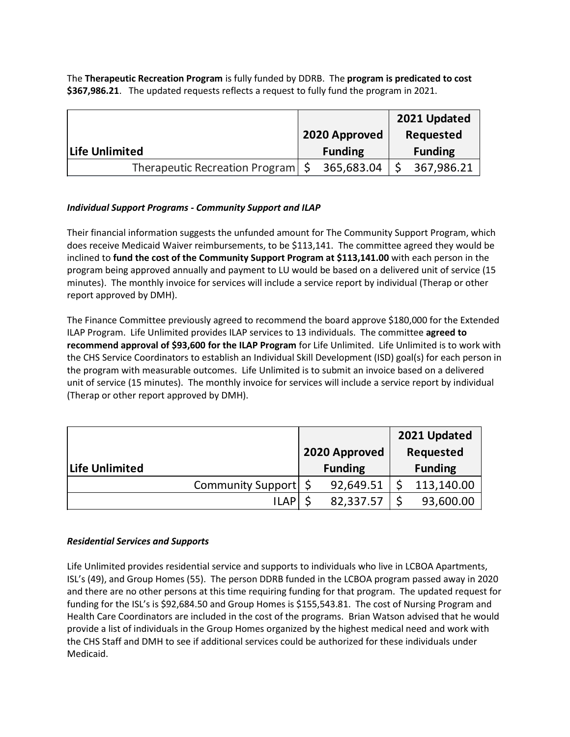The **Therapeutic Recreation Program** is fully funded by DDRB. The **program is predicated to cost \$367,986.21**. The updated requests reflects a request to fully fund the program in 2021.

|                                     |               |                |           | 2021 Updated   |
|-------------------------------------|---------------|----------------|-----------|----------------|
|                                     | 2020 Approved |                | Requested |                |
| Life Unlimited                      |               | <b>Funding</b> |           | <b>Funding</b> |
| Therapeutic Recreation Program   \$ |               | 365,683.04     |           | 367,986.21     |

## *Individual Support Programs - Community Support and ILAP*

Their financial information suggests the unfunded amount for The Community Support Program, which does receive Medicaid Waiver reimbursements, to be \$113,141. The committee agreed they would be inclined to **fund the cost of the Community Support Program at \$113,141.00** with each person in the program being approved annually and payment to LU would be based on a delivered unit of service (15 minutes). The monthly invoice for services will include a service report by individual (Therap or other report approved by DMH).

The Finance Committee previously agreed to recommend the board approve \$180,000 for the Extended ILAP Program. Life Unlimited provides ILAP services to 13 individuals. The committee **agreed to recommend approval of \$93,600 for the ILAP Program** for Life Unlimited. Life Unlimited is to work with the CHS Service Coordinators to establish an Individual Skill Development (ISD) goal(s) for each person in the program with measurable outcomes. Life Unlimited is to submit an invoice based on a delivered unit of service (15 minutes). The monthly invoice for services will include a service report by individual (Therap or other report approved by DMH).

|                        |                | 2021 Updated   |
|------------------------|----------------|----------------|
|                        | 2020 Approved  | Requested      |
| Life Unlimited         | <b>Funding</b> | <b>Funding</b> |
| Community Support   \$ | 92,649.51      | 113,140.00     |
| <b>ILAP</b>            | 82,337.57      | 93,600.00      |

### *Residential Services and Supports*

Life Unlimited provides residential service and supports to individuals who live in LCBOA Apartments, ISL's (49), and Group Homes (55). The person DDRB funded in the LCBOA program passed away in 2020 and there are no other persons at this time requiring funding for that program. The updated request for funding for the ISL's is \$92,684.50 and Group Homes is \$155,543.81. The cost of Nursing Program and Health Care Coordinators are included in the cost of the programs. Brian Watson advised that he would provide a list of individuals in the Group Homes organized by the highest medical need and work with the CHS Staff and DMH to see if additional services could be authorized for these individuals under Medicaid.